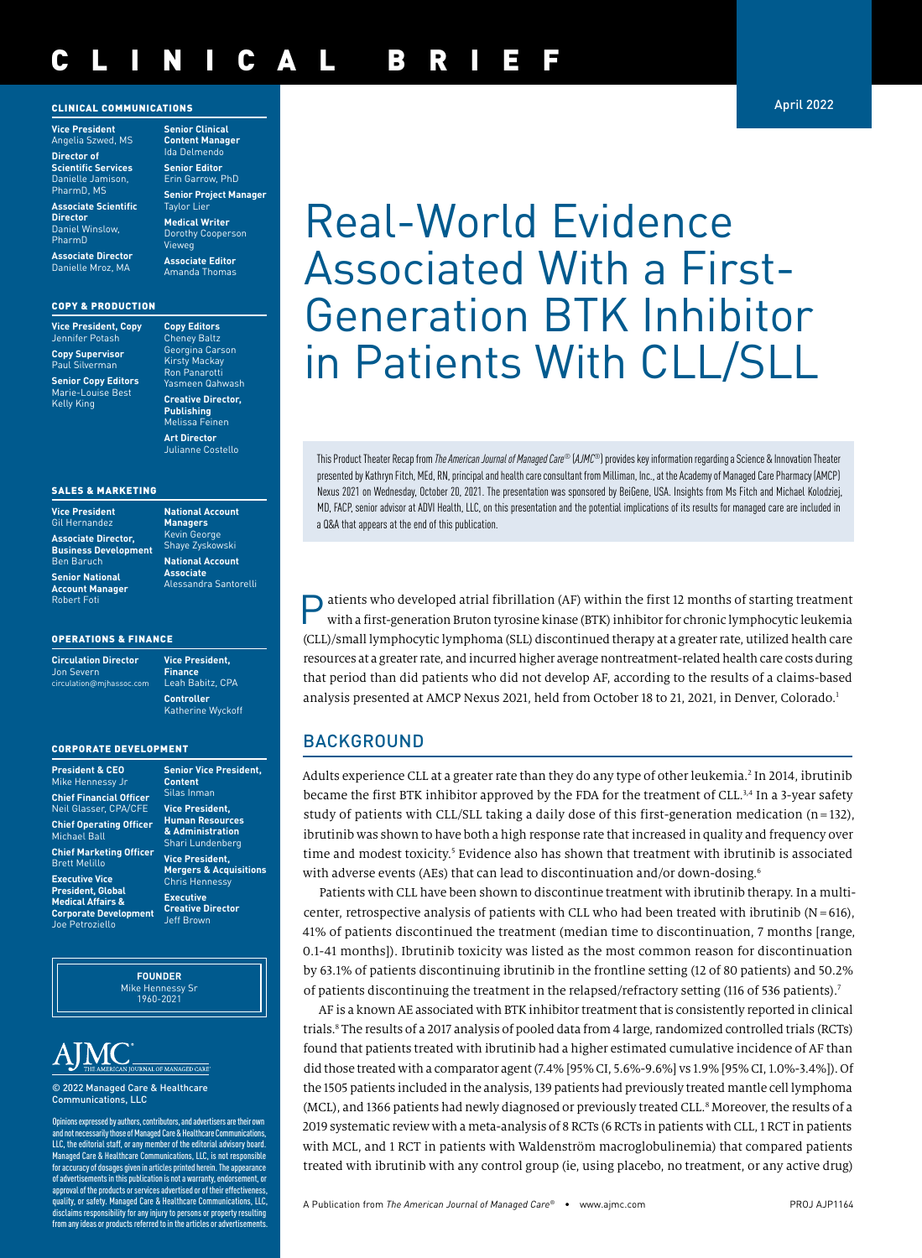#### CLINICAL COMMUNICATIONS

**Vice President** Angelia Szwed, MS **Director of Scientific Services** Danielle Jamison, PharmD, MS

**Associate Scientific Director** Daniel Winslow, PharmD

**Associate Director** Danielle Mroz, MA

#### COPY & PRODUCTION

**Vice President, Copy** Jennifer Potash **Copy Supervisor** Paul Silverman

**Senior Copy Editors** Marie-Louise Best Kelly King

**Content Manager** Ida Delmendo **Senior Editor** Erin Garrow, PhD **Senior Project Manager Taylor Lier Medical Writer** Dorothy Cooperson

**Senior Clinical** 

Vieweg Amanda Thomas

**Associate Editor**

Cheney Baltz Georgina Carson Kirsty Mackay Ron Panarotti Yasmeen Qahwash **Creative Director, Publishing** Melissa Feinen

**Copy Editors**

**Art Director** Julianne Costello

**National Account Managers**

#### SALES & MARKETING

| <b>Vice President</b>       |
|-----------------------------|
| Gil Hernandez               |
| <b>Associate Director,</b>  |
| <b>Business Development</b> |
| <b>Ben Baruch</b>           |
| <b>Senior National</b>      |
| <b>Account Manager</b>      |
| <b>Robert Foti</b>          |

#### Kevin George Shaye Zyskowski **National Account Associate** Alessandra Santorelli

#### OPERATIONS & FINANCE

**Circulation Director** Jon Severn circulation@mjhassoc.com

**Vice President, Finance** Leah Babitz, CPA **Controller**  Katherine Wyckoff

#### CORPORATE DEVELOPMENT

| <b>President &amp; CEO</b><br>Mike Hennessy Jr          |
|---------------------------------------------------------|
| <b>Chief Financial Officer</b><br>Neil Glasser, CPA/CFE |
| <b>Chief Operating Officer</b><br><b>Michael Ball</b>   |
| <b>Chief Marketing Officer</b><br><b>Brett Melillo</b>  |

**Executive Vice President, Global Medical Affairs & Corporate Development** Petroziello

**Senior Vice President, Content** Silas Inman **Vice President, Human Resources & Administration** Shari Lundenberg **Vice President, Mergers & Acquisitions** Chris Hennessy **Executive Creative Director** Jeff Brown

**FOUNDER** Mike Hennessy Sr 1960-2021

© 2022 Managed Care & Healthcare Communications, LLC

Opinions expressed by authors, contributors, and advertisers are their own and not necessarily those of Managed Care & Healthcare Communications, LLC, the editorial staff, or any member of the editorial advisory board Managed Care & Healthcare Communications, LLC, is not responsible for accuracy of dosages given in articles printed herein. The appearance of advertisements in this publication is not a warranty, endorsement, or approval of the products or services advertised or of their effective quality, or safety. Managed Care & Healthcare Communications, LLC, disclaims responsibility for any injury to persons or property resulting<br>from any ideas or products referred to in the articles or advertisements. April 2022

# Real-World Evidence Associated With a First-Generation BTK Inhibitor in Patients With CLL/SLL

This Product Theater Recap from *The American Journal of Managed Care*® (*AJMC*®) provides key information regarding a Science & Innovation Theater presented by Kathryn Fitch, MEd, RN, principal and health care consultant from Milliman, Inc., at the Academy of Managed Care Pharmacy (AMCP) Nexus 2021 on Wednesday, October 20, 2021. The presentation was sponsored by BeiGene, USA. Insights from Ms Fitch and Michael Kolodziej, MD, FACP, senior advisor at ADVI Health, LLC, on this presentation and the potential implications of its results for managed care are included in a Q&A that appears at the end of this publication.

dependent atrial fibrillation (AF) within the first 12 months of starting treatment with a first-generation Bruton tyrosine kinase (BTK) inhibitor for chronic lymphocytic leukemia (CLL)/small lymphocytic lymphoma (SLL) discontinued therapy at a greater rate, utilized health care resources at a greater rate, and incurred higher average nontreatment-related health care costs during that period than did patients who did not develop AF, according to the results of a claims-based analysis presented at AMCP Nexus 2021, held from October 18 to 21, 2021, in Denver, Colorado.<sup>1</sup>

# BACKGROUND

Adults experience CLL at a greater rate than they do any type of other leukemia.<sup>2</sup> In 2014, ibrutinib became the first BTK inhibitor approved by the FDA for the treatment of CLL.<sup>3,4</sup> In a 3-year safety study of patients with CLL/SLL taking a daily dose of this first-generation medication (n= 132), ibrutinib was shown to have both a high response rate that increased in quality and frequency over time and modest toxicity.<sup>5</sup> Evidence also has shown that treatment with ibrutinib is associated with adverse events (AEs) that can lead to discontinuation and/or down-dosing.6

Patients with CLL have been shown to discontinue treatment with ibrutinib therapy. In a multicenter, retrospective analysis of patients with CLL who had been treated with ibrutinib  $(N = 616)$ , 41% of patients discontinued the treatment (median time to discontinuation, 7 months [range, 0.1-41 months]). Ibrutinib toxicity was listed as the most common reason for discontinuation by 63.1% of patients discontinuing ibrutinib in the frontline setting (12 of 80 patients) and 50.2% of patients discontinuing the treatment in the relapsed/refractory setting (116 of 536 patients).7

AF is a known AE associated with BTK inhibitor treatment that is consistently reported in clinical trials.8 The results of a 2017 analysis of pooled data from 4 large, randomized controlled trials (RCTs) found that patients treated with ibrutinib had a higher estimated cumulative incidence of AF than did those treated with a comparator agent (7.4% [95% CI, 5.6%-9.6%] vs 1.9% [95% CI, 1.0%-3.4%]). Of the 1505 patients included in the analysis, 139 patients had previously treated mantle cell lymphoma (MCL), and 1366 patients had newly diagnosed or previously treated CLL.<sup>8</sup> Moreover, the results of a 2019 systematic review with a meta-analysis of 8 RCTs (6 RCTs in patients with CLL, 1 RCT in patients with MCL, and 1 RCT in patients with Waldenström macroglobulinemia) that compared patients treated with ibrutinib with any control group (ie, using placebo, no treatment, or any active drug)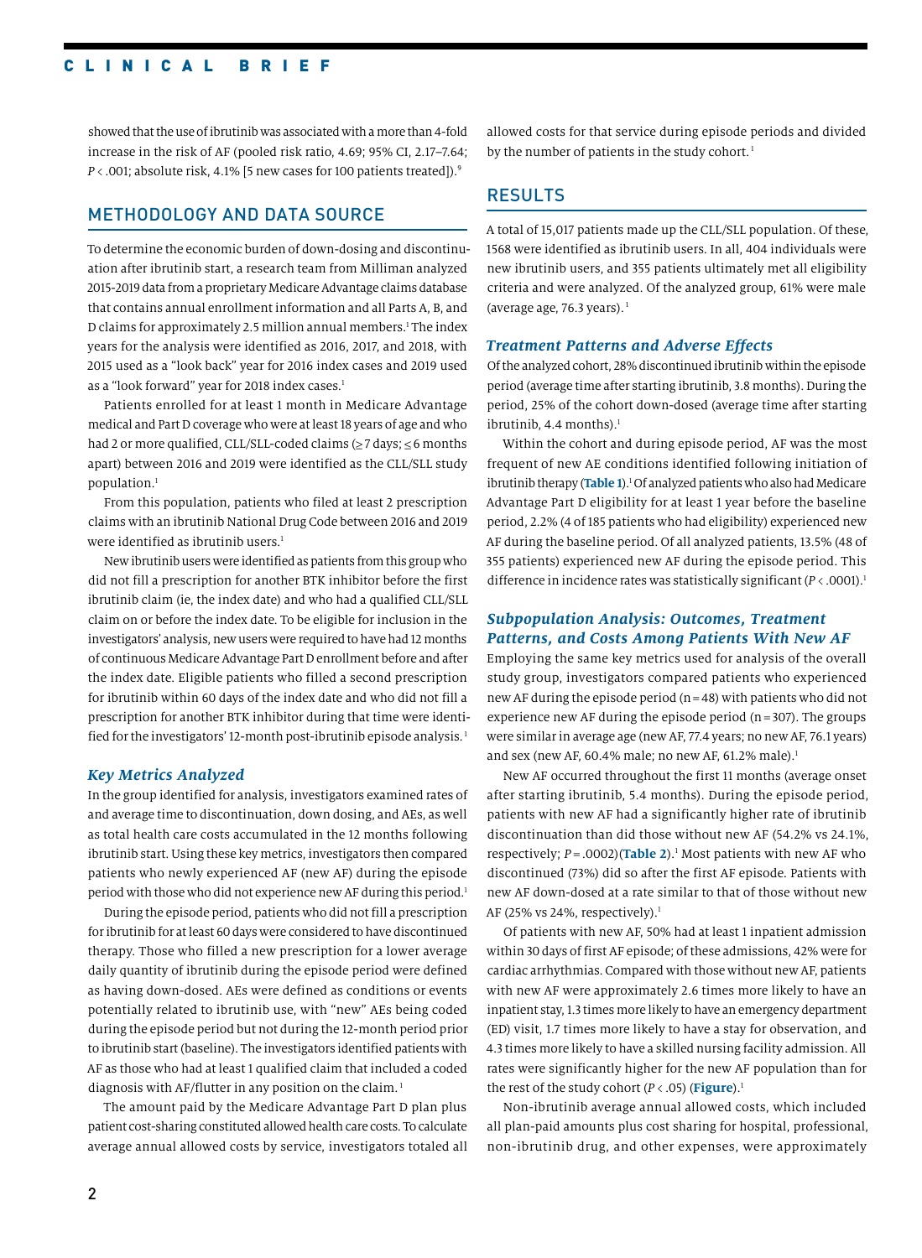### CLINICAL BRIEF

showed that the use of ibrutinib was associated with a more than 4-fold increase in the risk of AF (pooled risk ratio, 4.69; 95% CI, 2.17–7.64; *P* < .001; absolute risk, 4.1% [5 new cases for 100 patients treated]).<sup>9</sup>

# METHODOLOGY AND DATA SOURCE

To determine the economic burden of down-dosing and discontinuation after ibrutinib start, a research team from Milliman analyzed 2015-2019 data from a proprietary Medicare Advantage claims database that contains annual enrollment information and all Parts A, B, and D claims for approximately 2.5 million annual members.<sup>1</sup> The index years for the analysis were identified as 2016, 2017, and 2018, with 2015 used as a "look back" year for 2016 index cases and 2019 used as a "look forward" year for 2018 index cases.<sup>1</sup>

Patients enrolled for at least 1 month in Medicare Advantage medical and Part D coverage who were at least 18 years of age and who had 2 or more qualified, CLL/SLL-coded claims ( $\geq$  7 days;  $\leq$  6 months apart) between 2016 and 2019 were identified as the CLL/SLL study population.1

From this population, patients who filed at least 2 prescription claims with an ibrutinib National Drug Code between 2016 and 2019 were identified as ibrutinib users.<sup>1</sup>

New ibrutinib users were identified as patients from this group who did not fill a prescription for another BTK inhibitor before the first ibrutinib claim (ie, the index date) and who had a qualified CLL/SLL claim on or before the index date. To be eligible for inclusion in the investigators' analysis, new users were required to have had 12 months of continuous Medicare Advantage Part D enrollment before and after the index date. Eligible patients who filled a second prescription for ibrutinib within 60 days of the index date and who did not fill a prescription for another BTK inhibitor during that time were identified for the investigators' 12-month post-ibrutinib episode analysis.<sup>1</sup>

#### *Key Metrics Analyzed*

In the group identified for analysis, investigators examined rates of and average time to discontinuation, down dosing, and AEs, as well as total health care costs accumulated in the 12 months following ibrutinib start. Using these key metrics, investigators then compared patients who newly experienced AF (new AF) during the episode period with those who did not experience new AF during this period.<sup>1</sup>

During the episode period, patients who did not fill a prescription for ibrutinib for at least 60 days were considered to have discontinued therapy. Those who filled a new prescription for a lower average daily quantity of ibrutinib during the episode period were defined as having down-dosed. AEs were defined as conditions or events potentially related to ibrutinib use, with "new" AEs being coded during the episode period but not during the 12-month period prior to ibrutinib start (baseline). The investigators identified patients with AF as those who had at least 1 qualified claim that included a coded diagnosis with AF/flutter in any position on the claim.<sup>1</sup>

The amount paid by the Medicare Advantage Part D plan plus patient cost-sharing constituted allowed health care costs. To calculate average annual allowed costs by service, investigators totaled all allowed costs for that service during episode periods and divided by the number of patients in the study cohort.<sup>1</sup>

# RESULTS

A total of 15,017 patients made up the CLL/SLL population. Of these, 1568 were identified as ibrutinib users. In all, 404 individuals were new ibrutinib users, and 355 patients ultimately met all eligibility criteria and were analyzed. Of the analyzed group, 61% were male (average age, 76.3 years).<sup>1</sup>

#### *Treatment Patterns and Adverse Effects*

Of the analyzed cohort, 28% discontinued ibrutinib within the episode period (average time after starting ibrutinib, 3.8 months). During the period, 25% of the cohort down-dosed (average time after starting ibrutinib,  $4.4$  months).<sup>1</sup>

Within the cohort and during episode period, AF was the most frequent of new AE conditions identified following initiation of ibrutinib therapy (**Table 1**).1 Of analyzed patients who also had Medicare Advantage Part D eligibility for at least 1 year before the baseline period, 2.2% (4 of 185 patients who had eligibility) experienced new AF during the baseline period. Of all analyzed patients, 13.5% (48 of 355 patients) experienced new AF during the episode period. This difference in incidence rates was statistically significant ( $P < .0001$ ).<sup>1</sup>

#### *Subpopulation Analysis: Outcomes, Treatment Patterns, and Costs Among Patients With New AF*

Employing the same key metrics used for analysis of the overall study group, investigators compared patients who experienced new AF during the episode period ( $n=48$ ) with patients who did not experience new AF during the episode period  $(n=307)$ . The groups were similar in average age (new AF, 77.4 years; no new AF, 76.1 years) and sex (new AF, 60.4% male; no new AF, 61.2% male).<sup>1</sup>

New AF occurred throughout the first 11 months (average onset after starting ibrutinib, 5.4 months). During the episode period, patients with new AF had a significantly higher rate of ibrutinib discontinuation than did those without new AF (54.2% vs 24.1%, respectively; *P* = .0002)(**Table 2**).1 Most patients with new AF who discontinued (73%) did so after the first AF episode. Patients with new AF down-dosed at a rate similar to that of those without new AF (25% vs 24%, respectively).<sup>1</sup>

Of patients with new AF, 50% had at least 1 inpatient admission within 30 days of first AF episode; of these admissions, 42% were for cardiac arrhythmias. Compared with those without new AF, patients with new AF were approximately 2.6 times more likely to have an inpatient stay, 1.3 times more likely to have an emergency department (ED) visit, 1.7 times more likely to have a stay for observation, and 4.3 times more likely to have a skilled nursing facility admission. All rates were significantly higher for the new AF population than for the rest of the study cohort  $(P < .05)$  (**Figure**).<sup>1</sup>

Non-ibrutinib average annual allowed costs, which included all plan-paid amounts plus cost sharing for hospital, professional, non-ibrutinib drug, and other expenses, were approximately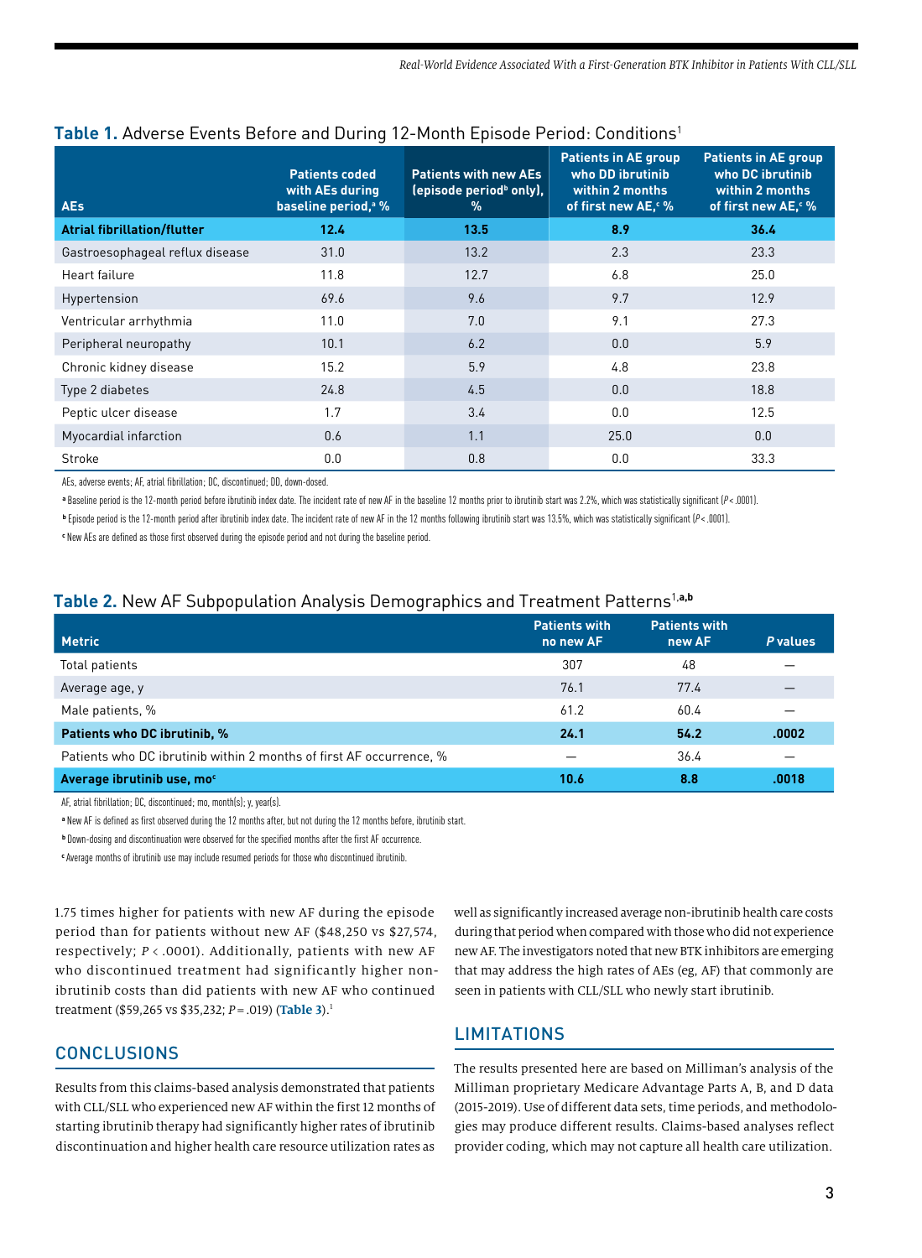| <b>AEs</b>                         | <b>Patients coded</b><br>with AEs during<br>baseline period, <sup>a</sup> % | <b>Patients with new AEs</b><br>(episode period <sup>b</sup> only),<br>$\%$ | <b>Patients in AE group</b><br>who DD ibrutinib<br>within 2 months<br>of first new AE. M | <b>Patients in AE group</b><br>who DC ibrutinib<br>within 2 months<br>of first new AE. M |
|------------------------------------|-----------------------------------------------------------------------------|-----------------------------------------------------------------------------|------------------------------------------------------------------------------------------|------------------------------------------------------------------------------------------|
| <b>Atrial fibrillation/flutter</b> | 12.4                                                                        | 13.5                                                                        | 8.9                                                                                      | 36.4                                                                                     |
| Gastroesophageal reflux disease    | 31.0                                                                        | 13.2                                                                        | 2.3                                                                                      | 23.3                                                                                     |
| Heart failure                      | 11.8                                                                        | 12.7                                                                        | 6.8                                                                                      | 25.0                                                                                     |
| Hypertension                       | 69.6                                                                        | 9.6                                                                         | 9.7                                                                                      | 12.9                                                                                     |
| Ventricular arrhythmia             | 11.0                                                                        | 7.0                                                                         | 9.1                                                                                      | 27.3                                                                                     |
| Peripheral neuropathy              | 10.1                                                                        | 6.2                                                                         | 0.0                                                                                      | 5.9                                                                                      |
| Chronic kidney disease             | 15.2                                                                        | 5.9                                                                         | 4.8                                                                                      | 23.8                                                                                     |
| Type 2 diabetes                    | 24.8                                                                        | 4.5                                                                         | 0.0                                                                                      | 18.8                                                                                     |
| Peptic ulcer disease               | 1.7                                                                         | 3.4                                                                         | 0.0                                                                                      | 12.5                                                                                     |
| Myocardial infarction              | 0.6                                                                         | 1.1                                                                         | 25.0                                                                                     | 0.0                                                                                      |
| Stroke                             | 0.0                                                                         | 0.8                                                                         | 0.0                                                                                      | 33.3                                                                                     |

# Table 1. Adverse Events Before and During 12-Month Episode Period: Conditions<sup>1</sup>

AEs, adverse events; AF, atrial fibrillation; DC, discontinued; DD, down-dosed.

**<sup>a</sup>**Baseline period is the 12-month period before ibrutinib index date. The incident rate of new AF in the baseline 12 months prior to ibrutinib start was 2.2%, which was statistically significant (*P*<.0001).

**<sup>b</sup>**Episode period is the 12-month period after ibrutinib index date. The incident rate of new AF in the 12 months following ibrutinib start was 13.5%, which was statistically significant (*P*<.0001).

**<sup>c</sup>**New AEs are defined as those first observed during the episode period and not during the baseline period.

# **Table 2.** New AF Subpopulation Analysis Demographics and Treatment Patterns1,**a,b**

| <b>Metric</b>                                                       | <b>Patients with</b><br>no new AF | <b>Patients with</b><br>new AF | P values |
|---------------------------------------------------------------------|-----------------------------------|--------------------------------|----------|
| Total patients                                                      | 307                               | 48                             |          |
| Average age, y                                                      | 76.1                              | 77.4                           |          |
| Male patients, %                                                    | 61.2                              | 60.4                           |          |
| Patients who DC ibrutinib, %                                        | 24.1                              | 54.2                           | .0002    |
| Patients who DC ibrutinib within 2 months of first AF occurrence, % |                                   | 36.4                           |          |
| Average ibrutinib use, mo <sup>c</sup>                              | 10.6                              | 8.8                            | .0018    |

AF, atrial fibrillation; DC, discontinued; mo, month(s); y, year(s).

**<sup>a</sup>**New AF is defined as first observed during the 12 months after, but not during the 12 months before, ibrutinib start.

**<sup>b</sup>**Down-dosing and discontinuation were observed for the specified months after the first AF occurrence.

**c** Average months of ibrutinib use may include resumed periods for those who discontinued ibrutinib.

1.75 times higher for patients with new AF during the episode period than for patients without new AF (\$48,250 vs \$27,574, respectively; *P* < .0001). Additionally, patients with new AF who discontinued treatment had significantly higher nonibrutinib costs than did patients with new AF who continued treatment (\$59,265 vs \$35,232; *P*=.019) (**Table 3**).1

# **CONCLUSIONS**

Results from this claims-based analysis demonstrated that patients with CLL/SLL who experienced new AF within the first 12 months of starting ibrutinib therapy had significantly higher rates of ibrutinib discontinuation and higher health care resource utilization rates as well as significantly increased average non-ibrutinib health care costs during that period when compared with those who did not experience new AF. The investigators noted that new BTK inhibitors are emerging that may address the high rates of AEs (eg, AF) that commonly are seen in patients with CLL/SLL who newly start ibrutinib.

# **LIMITATIONS**

The results presented here are based on Milliman's analysis of the Milliman proprietary Medicare Advantage Parts A, B, and D data (2015-2019). Use of different data sets, time periods, and methodologies may produce different results. Claims-based analyses reflect provider coding, which may not capture all health care utilization.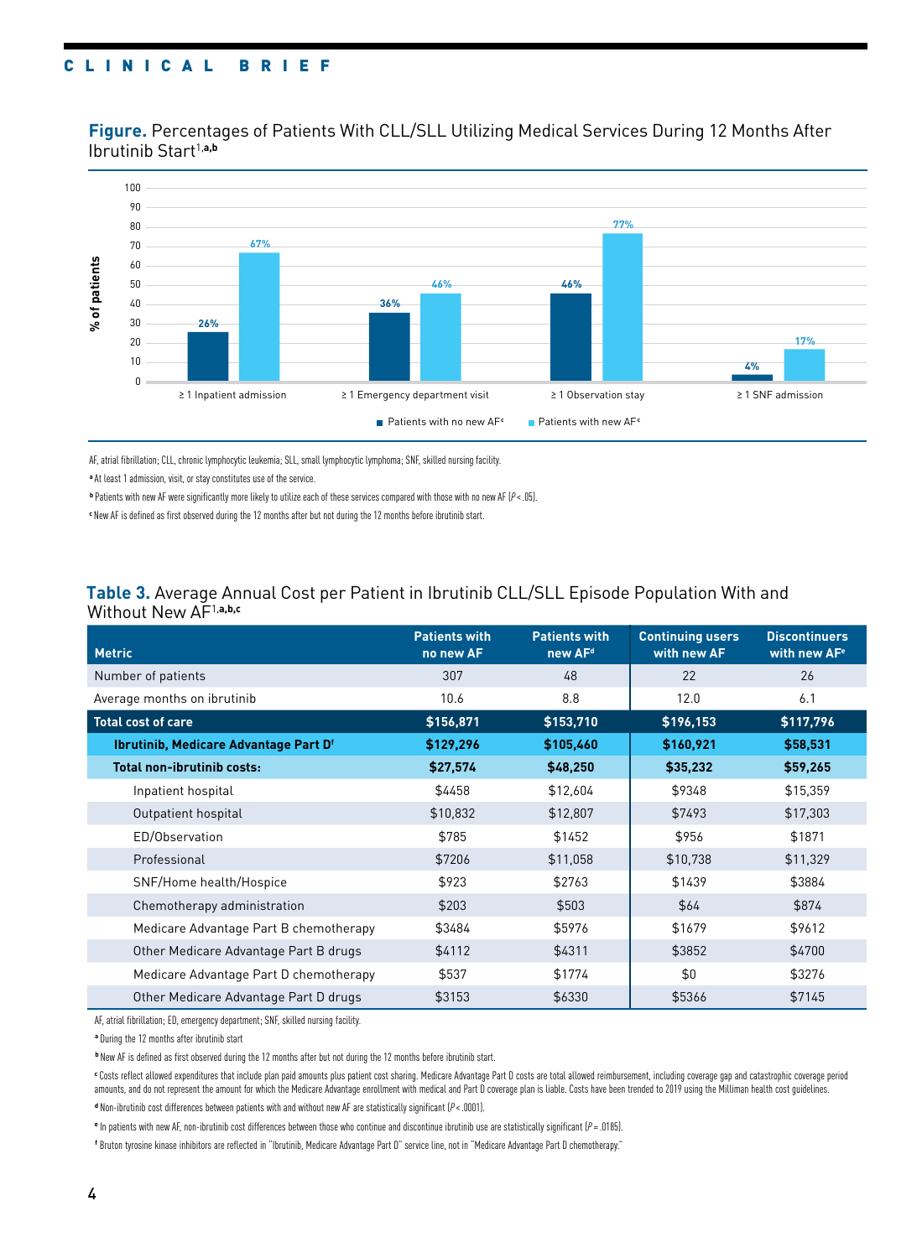## CLINICAL BRIEF

**Figure.** Percentages of Patients With CLL/SLL Utilizing Medical Services During 12 Months After Ibrutinib Start<sup>1,a,b</sup>



AF, atrial fibrillation; CLL, chronic lymphocytic leukemia; SLL, small lymphocytic lymphoma; SNF, skilled nursing facility.

**<sup>a</sup>**At least 1 admission, visit, or stay constitutes use of the service.

**<sup>b</sup>**Patients with new AF were significantly more likely to utilize each of these services compared with those with no new AF (*P*<.05).

**<sup>c</sup>**New AF is defined as first observed during the 12 months after but not during the 12 months before ibrutinib start.

#### **Table 3.** Average Annual Cost per Patient in Ibrutinib CLL/SLL Episode Population With and Without New AF1,**a,b,c**

| <b>Metric</b>                          | <b>Patients with</b><br>no new AF | <b>Patients with</b><br>new AF <sup>d</sup> | <b>Continuing users</b><br>with new AF | <b>Discontinuers</b><br>with new AF <sup>e</sup> |
|----------------------------------------|-----------------------------------|---------------------------------------------|----------------------------------------|--------------------------------------------------|
| Number of patients                     | 307                               | 48                                          | 22                                     | 26                                               |
| Average months on ibrutinib            | 10.6                              | 8.8                                         | 12.0                                   | 6.1                                              |
| <b>Total cost of care</b>              | \$156,871                         | \$153,710                                   | \$196,153                              | \$117,796                                        |
| Ibrutinib, Medicare Advantage Part Df  | \$129,296                         | \$105,460                                   | \$160,921                              | \$58,531                                         |
| <b>Total non-ibrutinib costs:</b>      | \$27,574                          | \$48,250                                    | \$35,232                               | \$59,265                                         |
| Inpatient hospital                     | \$4458                            | \$12,604                                    | \$9348                                 | \$15,359                                         |
| Outpatient hospital                    | \$10,832                          | \$12,807                                    | \$7493                                 | \$17,303                                         |
| ED/Observation                         | \$785                             | \$1452                                      | \$956                                  | \$1871                                           |
| Professional                           | \$7206                            | \$11,058                                    | \$10,738                               | \$11,329                                         |
| SNF/Home health/Hospice                | \$923                             | \$2763                                      | \$1439                                 | \$3884                                           |
| Chemotherapy administration            | \$203                             | \$503                                       | \$64                                   | \$874                                            |
| Medicare Advantage Part B chemotherapy | \$3484                            | \$5976                                      | \$1679                                 | \$9612                                           |
| Other Medicare Advantage Part B drugs  | \$4112                            | \$4311                                      | \$3852                                 | \$4700                                           |
| Medicare Advantage Part D chemotherapy | \$537                             | \$1774                                      | \$0                                    | \$3276                                           |
| Other Medicare Advantage Part D drugs  | \$3153                            | \$6330                                      | \$5366                                 | \$7145                                           |

AF, atrial fibrillation; ED, emergency department; SNF, skilled nursing facility.

**<sup>a</sup>**During the 12 months after ibrutinib start

**<sup>b</sup>**New AF is defined as first observed during the 12 months after but not during the 12 months before ibrutinib start.

**<sup>c</sup>**Costs reflect allowed expenditures that include plan paid amounts plus patient cost sharing. Medicare Advantage Part D costs are total allowed reimbursement, including coverage gap and catastrophic coverage period amounts, and do not represent the amount for which the Medicare Advantage enrollment with medical and Part D coverage plan is liable. Costs have been trended to 2019 using the Milliman health cost guidelines. **<sup>d</sup>**Non-ibrutinib cost differences between patients with and without new AF are statistically significant (*P*<.0001).

**<sup>e</sup>**In patients with new AF, non-ibrutinib cost differences between those who continue and discontinue ibrutinib use are statistically significant (*P* = .0185).

**f** Bruton tyrosine kinase inhibitors are reflected in "Ibrutinib, Medicare Advantage Part D" service line, not in "Medicare Advantage Part D chemotherapy."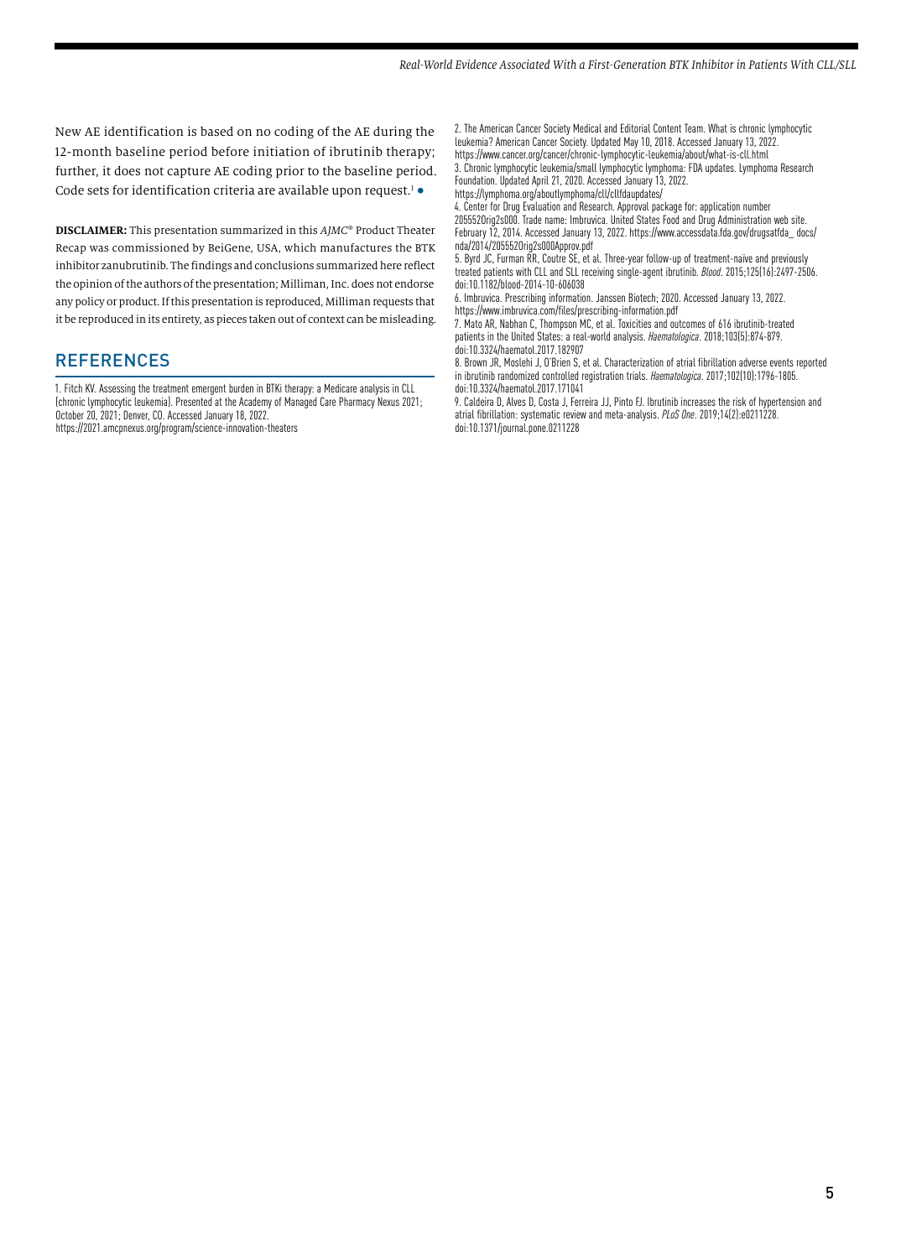New AE identification is based on no coding of the AE during the 12-month baseline period before initiation of ibrutinib therapy; further, it does not capture AE coding prior to the baseline period. Code sets for identification criteria are available upon request.<sup>1</sup>  $\bullet$ 

**DISCLAIMER:** This presentation summarized in this *AJMC*® Product Theater Recap was commissioned by BeiGene, USA, which manufactures the BTK inhibitor zanubrutinib. The findings and conclusions summarized here reflect the opinion of the authors of the presentation; Milliman, Inc. does not endorse any policy or product. If this presentation is reproduced, Milliman requests that it be reproduced in its entirety, as pieces taken out of context can be misleading.

#### **REFERENCES**

1. Fitch KV. Assessing the treatment emergent burden in BTKi therapy: a Medicare analysis in CLL (chronic lymphocytic leukemia). Presented at the Academy of Managed Care Pharmacy Nexus 2021; October 20, 2021; Denver, CO. Accessed January 18, 2022. https://2021.amcpnexus.org/program/science-innovation-theaters

2. The American Cancer Society Medical and Editorial Content Team. What is chronic lymphocytic leukemia? American Cancer Society. Updated May 10, 2018. Accessed January 13, 2022. https://www.cancer.org/cancer/chronic-lymphocytic-leukemia/about/what-is-cll.html

3. Chronic lymphocytic leukemia/small lymphocytic lymphoma: FDA updates. Lymphoma Research Foundation. Updated April 21, 2020. Accessed January 13, 2022. https://lymphoma.org/aboutlymphoma/cll/cllfdaupdates/

4. Center for Drug Evaluation and Research. Approval package for: application number 205552Orig2s000. Trade name: Imbruvica. United States Food and Drug Administration web site. February 12, 2014. Accessed January 13, 2022. https://www.accessdata.fda.gov/drugsatfda\_ docs/ nda/2014/205552Orig2s000Approv.pdf

5. Byrd JC, Furman RR, Coutre SE, et al. Three-year follow-up of treatment-naïve and previously treated patients with CLL and SLL receiving single-agent ibrutinib. *Blood*. 2015;125(16):2497-2506. doi:10.1182/blood-2014-10-606038

6. Imbruvica. Prescribing information. Janssen Biotech; 2020. Accessed January 13, 2022. https://www.imbruvica.com/files/prescribing-information.pdf

7. Mato AR, Nabhan C, Thompson MC, et al. Toxicities and outcomes of 616 ibrutinib-treated patients in the United States: a real-world analysis. *Haematologica*. 2018;103(5):874-879. doi:10.3324/haematol.2017.182907

8. Brown JR, Moslehi J, O'Brien S, et al. Characterization of atrial fibrillation adverse events reported in ibrutinib randomized controlled registration trials. *Haematologica*. 2017;102(10):1796-1805. doi:10.3324/haematol.2017.171041

9. Caldeira D, Alves D, Costa J, Ferreira JJ, Pinto FJ. Ibrutinib increases the risk of hypertension and atrial fibrillation: systematic review and meta-analysis. *PLoS One*. 2019;14(2):e0211228. doi:10.1371/journal.pone.0211228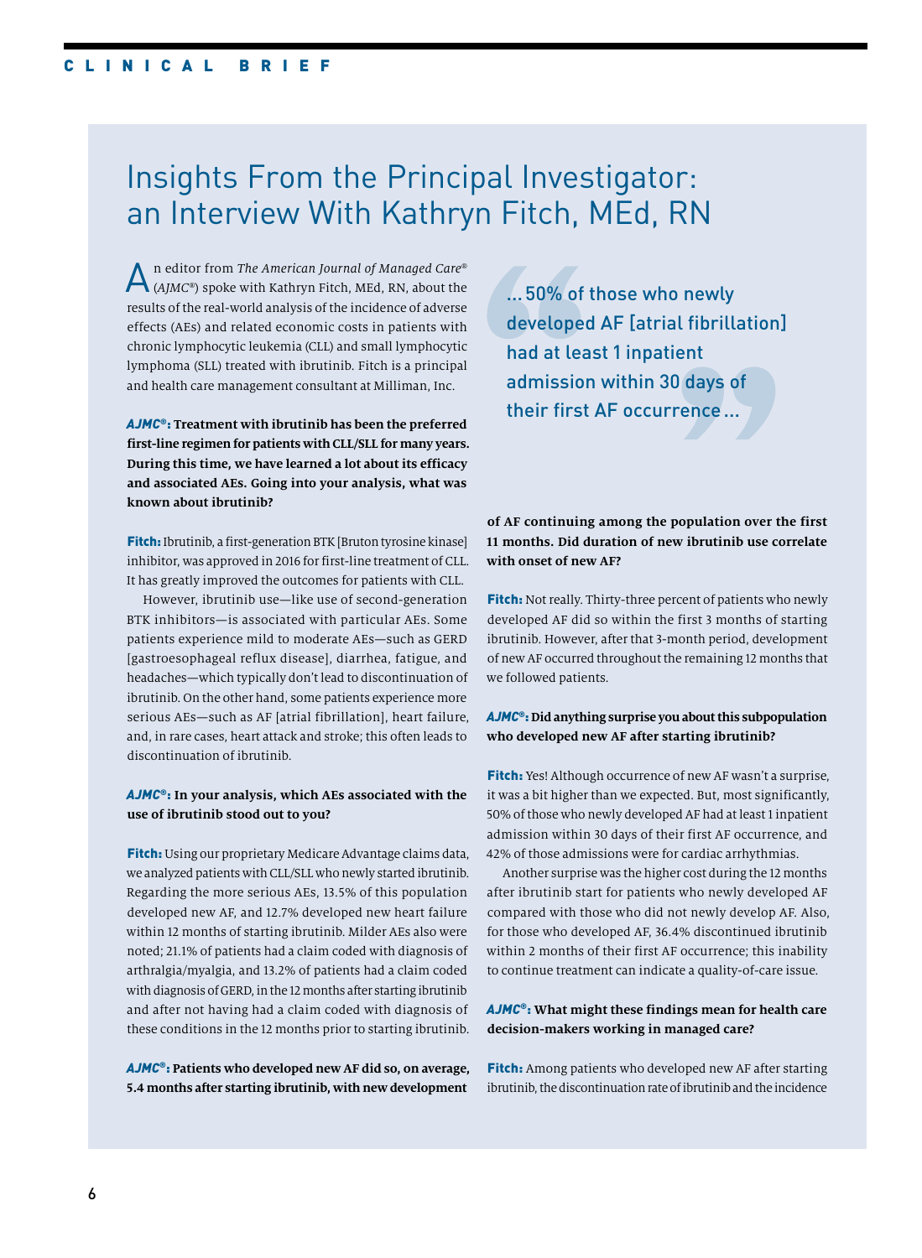# Insights From the Principal Investigator: an Interview With Kathryn Fitch, MEd, RN

An editor from *The American Journal of Managed Care*® (*AJMC*®) spoke with Kathryn Fitch, MEd, RN, about the results of the real-world analysis of the incidence of adverse effects (AEs) and related economic costs in patients with chronic lymphocytic leukemia (CLL) and small lymphocytic lymphoma (SLL) treated with ibrutinib. Fitch is a principal and health care management consultant at Milliman, Inc.

*AJMC*®: **Treatment with ibrutinib has been the preferred first-line regimen for patients with CLL/SLL for many years. During this time, we have learned a lot about its efficacy and associated AEs. Going into your analysis, what was known about ibrutinib?**

Fitch: Ibrutinib, a first-generation BTK [Bruton tyrosine kinase] inhibitor, was approved in 2016 for first-line treatment of CLL. It has greatly improved the outcomes for patients with CLL.

However, ibrutinib use—like use of second-generation BTK inhibitors—is associated with particular AEs. Some patients experience mild to moderate AEs—such as GERD [gastroesophageal reflux disease], diarrhea, fatigue, and headaches—which typically don't lead to discontinuation of ibrutinib. On the other hand, some patients experience more serious AEs—such as AF [atrial fibrillation], heart failure, and, in rare cases, heart attack and stroke; this often leads to discontinuation of ibrutinib.

#### *AJMC*®: **In your analysis, which AEs associated with the use of ibrutinib stood out to you?**

Fitch: Using our proprietary Medicare Advantage claims data, we analyzed patients with CLL/SLL who newly started ibrutinib. Regarding the more serious AEs, 13.5% of this population developed new AF, and 12.7% developed new heart failure within 12 months of starting ibrutinib. Milder AEs also were noted; 21.1% of patients had a claim coded with diagnosis of arthralgia/myalgia, and 13.2% of patients had a claim coded with diagnosis of GERD, in the 12 months after starting ibrutinib and after not having had a claim coded with diagnosis of these conditions in the 12 months prior to starting ibrutinib.

*AJMC*®: **Patients who developed new AF did so, on average, 5.4 months after starting ibrutinib, with new development** 

...50% of those who newly developed AF [atrial fibrillation] had at least 1 inpatient admission within 30 days of their first AF occurrence...

#### **of AF continuing among the population over the first 11 months. Did duration of new ibrutinib use correlate with onset of new AF?**

**Fitch:** Not really. Thirty-three percent of patients who newly developed AF did so within the first 3 months of starting ibrutinib. However, after that 3-month period, development of new AF occurred throughout the remaining 12 months that we followed patients.

#### *AJMC*®: **Did anything surprise you about this subpopulation who developed new AF after starting ibrutinib?**

Fitch: Yes! Although occurrence of new AF wasn't a surprise, it was a bit higher than we expected. But, most significantly, 50% of those who newly developed AF had at least 1 inpatient admission within 30 days of their first AF occurrence, and 42% of those admissions were for cardiac arrhythmias.

Another surprise was the higher cost during the 12 months after ibrutinib start for patients who newly developed AF compared with those who did not newly develop AF. Also, for those who developed AF, 36.4% discontinued ibrutinib within 2 months of their first AF occurrence; this inability to continue treatment can indicate a quality-of-care issue.

#### *AJMC*®: **What might these findings mean for health care decision-makers working in managed care?**

**Fitch:** Among patients who developed new AF after starting ibrutinib, the discontinuation rate of ibrutinib and the incidence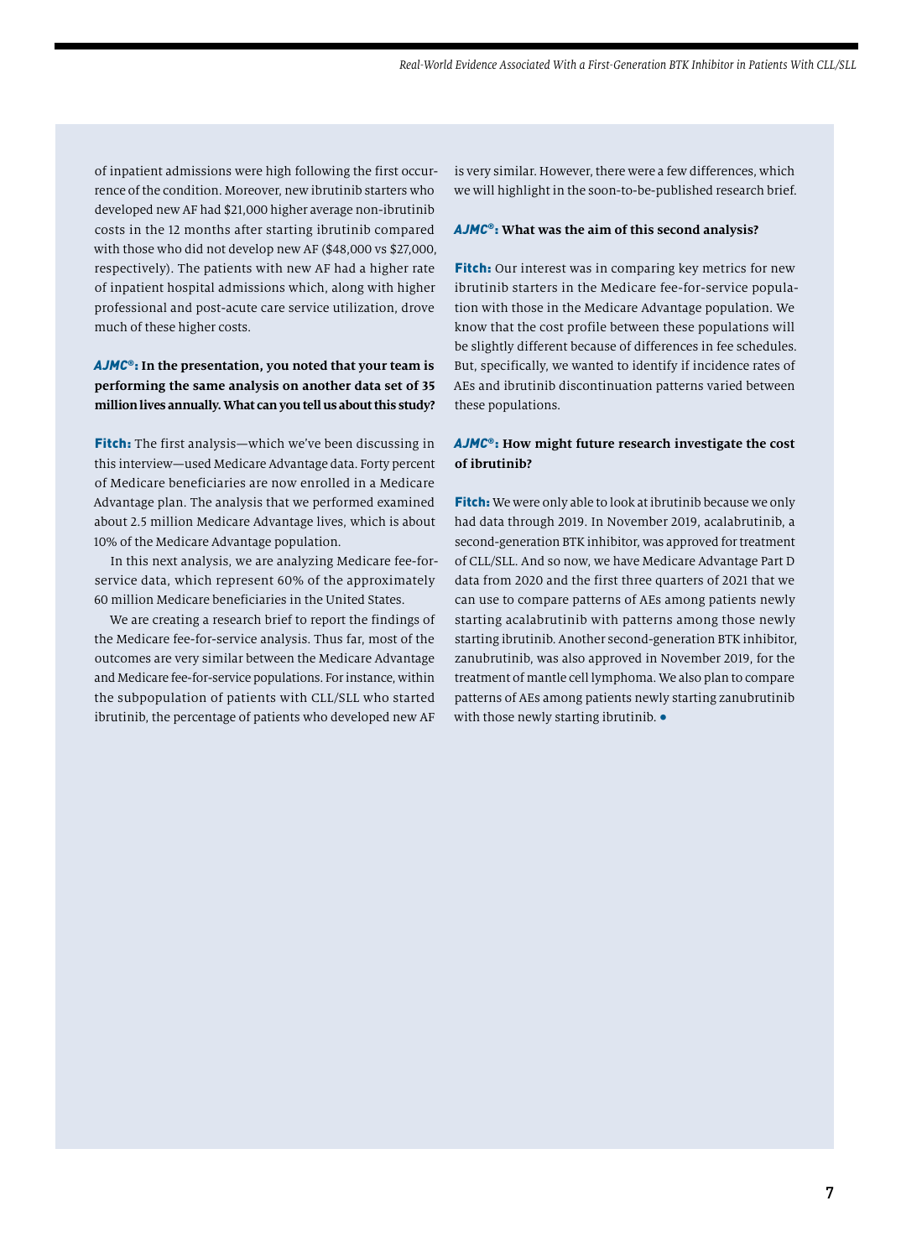of inpatient admissions were high following the first occurrence of the condition. Moreover, new ibrutinib starters who developed new AF had \$21,000 higher average non-ibrutinib costs in the 12 months after starting ibrutinib compared with those who did not develop new AF (\$48,000 vs \$27,000, respectively). The patients with new AF had a higher rate of inpatient hospital admissions which, along with higher professional and post-acute care service utilization, drove much of these higher costs.

#### *AJMC*®: **In the presentation, you noted that your team is performing the same analysis on another data set of 35 million lives annually. What can you tell us about this study?**

Fitch: The first analysis—which we've been discussing in this interview—used Medicare Advantage data. Forty percent of Medicare beneficiaries are now enrolled in a Medicare Advantage plan. The analysis that we performed examined about 2.5 million Medicare Advantage lives, which is about 10% of the Medicare Advantage population.

In this next analysis, we are analyzing Medicare fee-forservice data, which represent 60% of the approximately 60 million Medicare beneficiaries in the United States.

We are creating a research brief to report the findings of the Medicare fee-for-service analysis. Thus far, most of the outcomes are very similar between the Medicare Advantage and Medicare fee-for-service populations. For instance, within the subpopulation of patients with CLL/SLL who started ibrutinib, the percentage of patients who developed new AF

is very similar. However, there were a few differences, which we will highlight in the soon-to-be-published research brief.

#### *AJMC*®: **What was the aim of this second analysis?**

Fitch: Our interest was in comparing key metrics for new ibrutinib starters in the Medicare fee-for-service population with those in the Medicare Advantage population. We know that the cost profile between these populations will be slightly different because of differences in fee schedules. But, specifically, we wanted to identify if incidence rates of AEs and ibrutinib discontinuation patterns varied between these populations.

#### *AJMC*®: **How might future research investigate the cost of ibrutinib?**

**Fitch:** We were only able to look at ibrutinib because we only had data through 2019. In November 2019, acalabrutinib, a second-generation BTK inhibitor, was approved for treatment of CLL/SLL. And so now, we have Medicare Advantage Part D data from 2020 and the first three quarters of 2021 that we can use to compare patterns of AEs among patients newly starting acalabrutinib with patterns among those newly starting ibrutinib. Another second-generation BTK inhibitor, zanubrutinib, was also approved in November 2019, for the treatment of mantle cell lymphoma. We also plan to compare patterns of AEs among patients newly starting zanubrutinib with those newly starting ibrutinib. •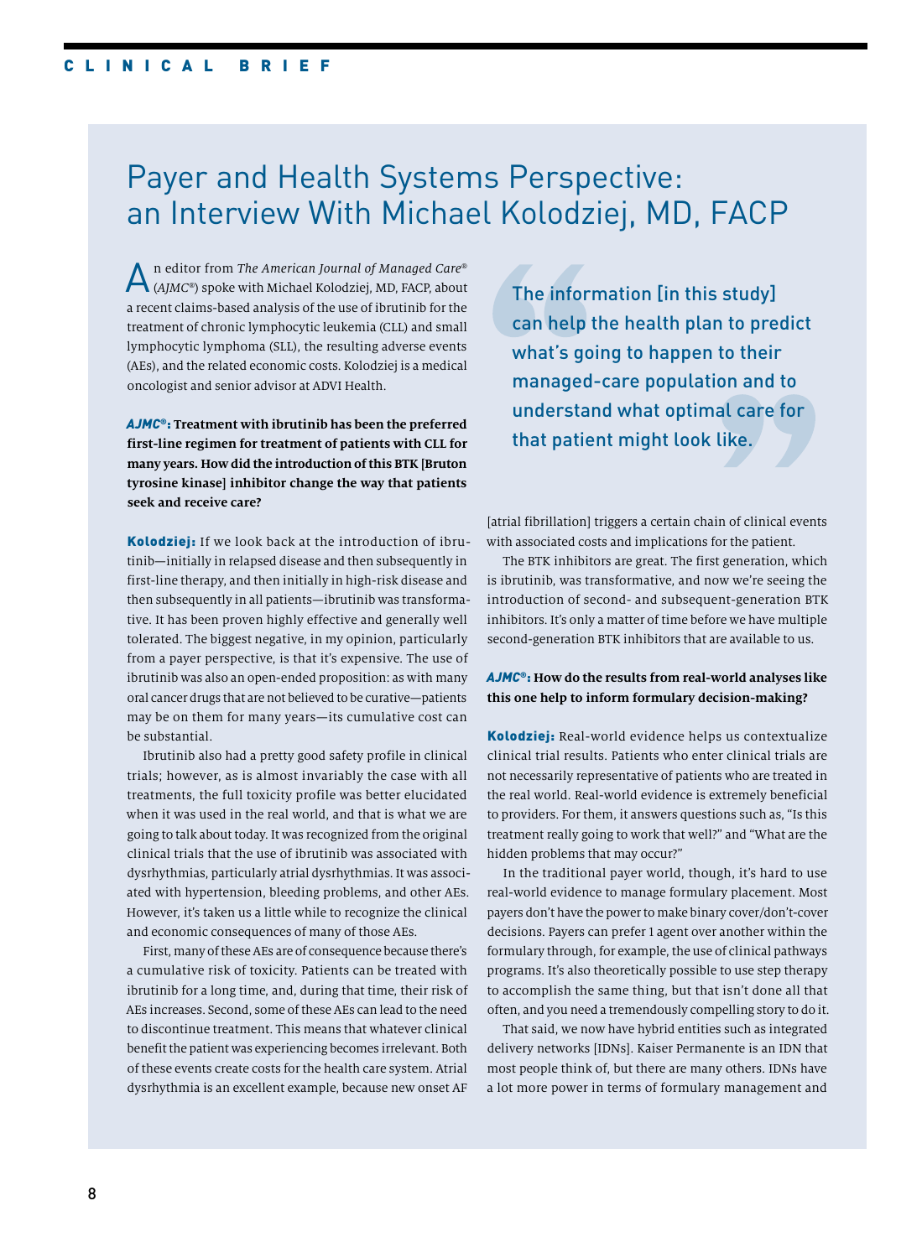# Payer and Health Systems Perspective: an Interview With Michael Kolodziej, MD, FACP

An editor from *The American Journal of Managed Care*® (*AJMC*®) spoke with Michael Kolodziej, MD, FACP, about a recent claims-based analysis of the use of ibrutinib for the treatment of chronic lymphocytic leukemia (CLL) and small lymphocytic lymphoma (SLL), the resulting adverse events (AEs), and the related economic costs. Kolodziej is a medical oncologist and senior advisor at ADVI Health.

*AJMC*®: **Treatment with ibrutinib has been the preferred first-line regimen for treatment of patients with CLL for many years. How did the introduction of this BTK [Bruton tyrosine kinase] inhibitor change the way that patients seek and receive care?**

Kolodziej: If we look back at the introduction of ibrutinib—initially in relapsed disease and then subsequently in first-line therapy, and then initially in high-risk disease and then subsequently in all patients—ibrutinib was transformative. It has been proven highly effective and generally well tolerated. The biggest negative, in my opinion, particularly from a payer perspective, is that it's expensive. The use of ibrutinib was also an open-ended proposition: as with many oral cancer drugs that are not believed to be curative—patients may be on them for many years—its cumulative cost can be substantial.

Ibrutinib also had a pretty good safety profile in clinical trials; however, as is almost invariably the case with all treatments, the full toxicity profile was better elucidated when it was used in the real world, and that is what we are going to talk about today. It was recognized from the original clinical trials that the use of ibrutinib was associated with dysrhythmias, particularly atrial dysrhythmias. It was associated with hypertension, bleeding problems, and other AEs. However, it's taken us a little while to recognize the clinical and economic consequences of many of those AEs.

First, many of these AEs are of consequence because there's a cumulative risk of toxicity. Patients can be treated with ibrutinib for a long time, and, during that time, their risk of AEs increases. Second, some of these AEs can lead to the need to discontinue treatment. This means that whatever clinical benefit the patient was experiencing becomes irrelevant. Both of these events create costs for the health care system. Atrial dysrhythmia is an excellent example, because new onset AF

The information [in this study] can help the health plan to predict what's going to happen to their managed-care population and to understand what optimal care for that patient might look like.

[atrial fibrillation] triggers a certain chain of clinical events with associated costs and implications for the patient.

The BTK inhibitors are great. The first generation, which is ibrutinib, was transformative, and now we're seeing the introduction of second- and subsequent-generation BTK inhibitors. It's only a matter of time before we have multiple second-generation BTK inhibitors that are available to us.

#### *AJMC*®: **How do the results from real-world analyses like this one help to inform formulary decision-making?**

Kolodziej: Real-world evidence helps us contextualize clinical trial results. Patients who enter clinical trials are not necessarily representative of patients who are treated in the real world. Real-world evidence is extremely beneficial to providers. For them, it answers questions such as, "Is this treatment really going to work that well?" and "What are the hidden problems that may occur?"

In the traditional payer world, though, it's hard to use real-world evidence to manage formulary placement. Most payers don't have the power to make binary cover/don't-cover decisions. Payers can prefer 1 agent over another within the formulary through, for example, the use of clinical pathways programs. It's also theoretically possible to use step therapy to accomplish the same thing, but that isn't done all that often, and you need a tremendously compelling story to do it.

That said, we now have hybrid entities such as integrated delivery networks [IDNs]. Kaiser Permanente is an IDN that most people think of, but there are many others. IDNs have a lot more power in terms of formulary management and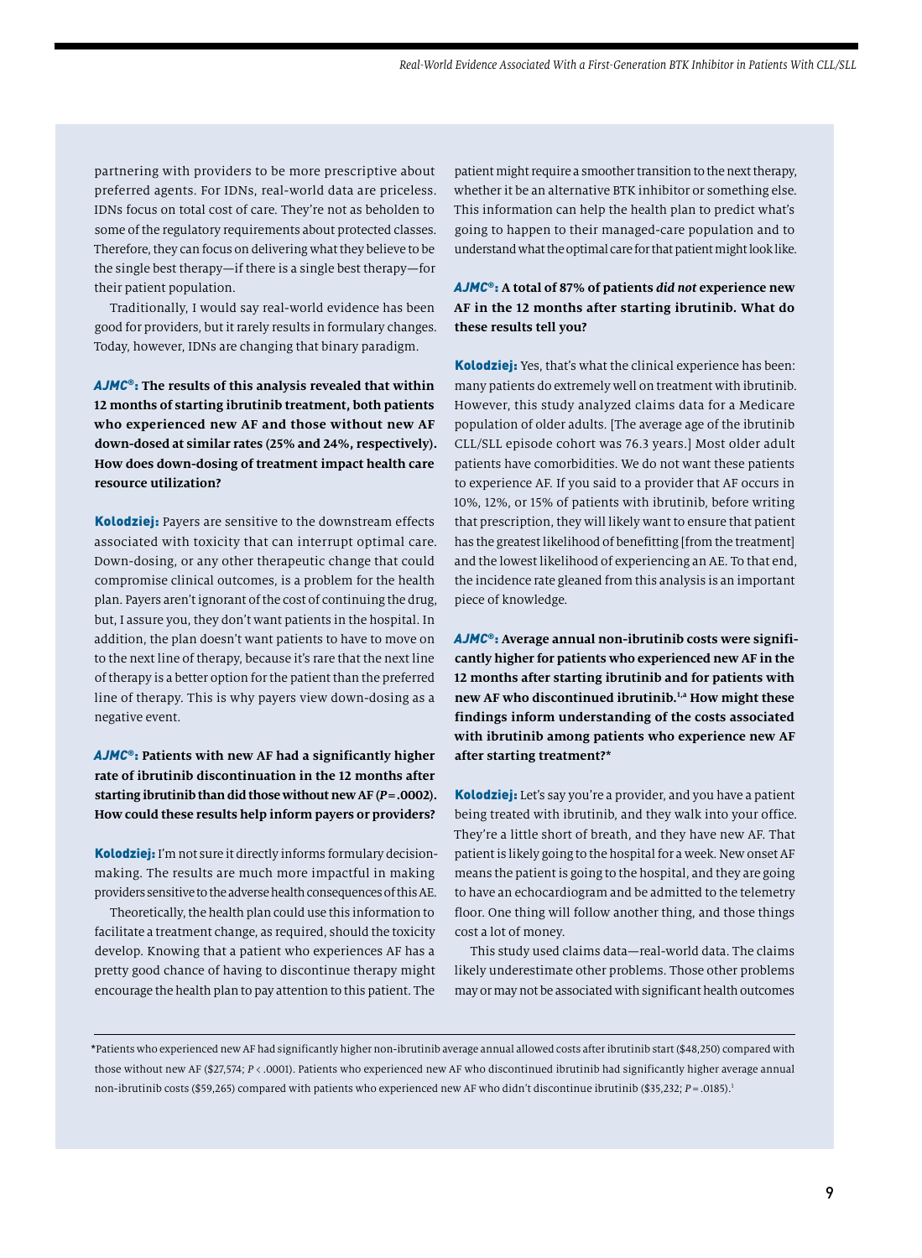partnering with providers to be more prescriptive about preferred agents. For IDNs, real-world data are priceless. IDNs focus on total cost of care. They're not as beholden to some of the regulatory requirements about protected classes. Therefore, they can focus on delivering what they believe to be the single best therapy—if there is a single best therapy—for their patient population.

Traditionally, I would say real-world evidence has been good for providers, but it rarely results in formulary changes. Today, however, IDNs are changing that binary paradigm.

*AJMC*®: **The results of this analysis revealed that within 12 months of starting ibrutinib treatment, both patients who experienced new AF and those without new AF down-dosed at similar rates (25% and 24%, respectively). How does down-dosing of treatment impact health care resource utilization?** 

Kolodziej: Payers are sensitive to the downstream effects associated with toxicity that can interrupt optimal care. Down-dosing, or any other therapeutic change that could compromise clinical outcomes, is a problem for the health plan. Payers aren't ignorant of the cost of continuing the drug, but, I assure you, they don't want patients in the hospital. In addition, the plan doesn't want patients to have to move on to the next line of therapy, because it's rare that the next line of therapy is a better option for the patient than the preferred line of therapy. This is why payers view down-dosing as a negative event.

*AJMC*®: **Patients with new AF had a significantly higher rate of ibrutinib discontinuation in the 12 months after starting ibrutinib than did those without new AF (***P***=.0002). How could these results help inform payers or providers?**

Kolodziej: I'm not sure it directly informs formulary decisionmaking. The results are much more impactful in making providers sensitive to the adverse health consequences of this AE.

Theoretically, the health plan could use this information to facilitate a treatment change, as required, should the toxicity develop. Knowing that a patient who experiences AF has a pretty good chance of having to discontinue therapy might encourage the health plan to pay attention to this patient. The

patient might require a smoother transition to the next therapy, whether it be an alternative BTK inhibitor or something else. This information can help the health plan to predict what's going to happen to their managed-care population and to understand what the optimal care for that patient might look like.

#### *AJMC*®: **A total of 87% of patients** *did not* **experience new AF in the 12 months after starting ibrutinib. What do these results tell you?**

Kolodziej: Yes, that's what the clinical experience has been: many patients do extremely well on treatment with ibrutinib. However, this study analyzed claims data for a Medicare population of older adults. [The average age of the ibrutinib CLL/SLL episode cohort was 76.3 years.] Most older adult patients have comorbidities. We do not want these patients to experience AF. If you said to a provider that AF occurs in 10%, 12%, or 15% of patients with ibrutinib, before writing that prescription, they will likely want to ensure that patient has the greatest likelihood of benefitting [from the treatment] and the lowest likelihood of experiencing an AE. To that end, the incidence rate gleaned from this analysis is an important piece of knowledge.

*AJMC*®: **Average annual non-ibrutinib costs were significantly higher for patients who experienced new AF in the 12 months after starting ibrutinib and for patients with new AF who discontinued ibrutinib.1,a How might these findings inform understanding of the costs associated with ibrutinib among patients who experience new AF after starting treatment?\***

Kolodziej: Let's say you're a provider, and you have a patient being treated with ibrutinib, and they walk into your office. They're a little short of breath, and they have new AF. That patient is likely going to the hospital for a week. New onset AF means the patient is going to the hospital, and they are going to have an echocardiogram and be admitted to the telemetry floor. One thing will follow another thing, and those things cost a lot of money.

This study used claims data—real-world data. The claims likely underestimate other problems. Those other problems may or may not be associated with significant health outcomes

**\***Patients who experienced new AF had significantly higher non-ibrutinib average annual allowed costs after ibrutinib start (\$48,250) compared with those without new AF (\$27,574; *P* < .0001). Patients who experienced new AF who discontinued ibrutinib had significantly higher average annual non-ibrutinib costs (\$59,265) compared with patients who experienced new AF who didn't discontinue ibrutinib (\$35,232; *P* = .0185).1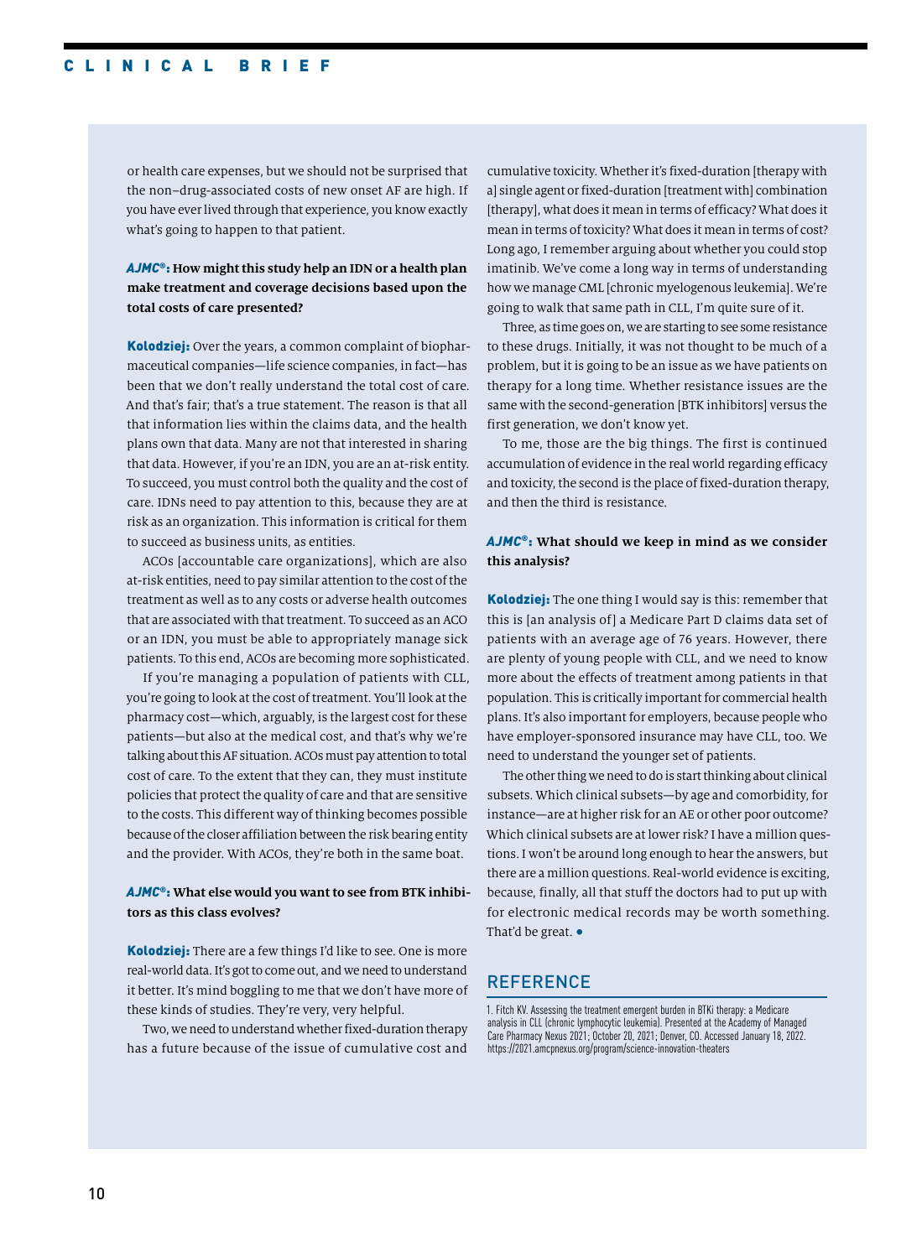or health care expenses, but we should not be surprised that the non–drug-associated costs of new onset AF are high. If you have ever lived through that experience, you know exactly what's going to happen to that patient.

#### *AJMC*®: **How might this study help an IDN or a health plan make treatment and coverage decisions based upon the total costs of care presented?**

Kolodziej: Over the years, a common complaint of biopharmaceutical companies—life science companies, in fact—has been that we don't really understand the total cost of care. And that's fair; that's a true statement. The reason is that all that information lies within the claims data, and the health plans own that data. Many are not that interested in sharing that data. However, if you're an IDN, you are an at-risk entity. To succeed, you must control both the quality and the cost of care. IDNs need to pay attention to this, because they are at risk as an organization. This information is critical for them to succeed as business units, as entities.

ACOs [accountable care organizations], which are also at-risk entities, need to pay similar attention to the cost of the treatment as well as to any costs or adverse health outcomes that are associated with that treatment. To succeed as an ACO or an IDN, you must be able to appropriately manage sick patients. To this end, ACOs are becoming more sophisticated.

If you're managing a population of patients with CLL, you're going to look at the cost of treatment. You'll look at the pharmacy cost—which, arguably, is the largest cost for these patients—but also at the medical cost, and that's why we're talking about this AF situation. ACOs must pay attention to total cost of care. To the extent that they can, they must institute policies that protect the quality of care and that are sensitive to the costs. This different way of thinking becomes possible because of the closer affiliation between the risk bearing entity and the provider. With ACOs, they're both in the same boat.

#### *AJMC*®: **What else would you want to see from BTK inhibitors as this class evolves?**

Kolodziej: There are a few things I'd like to see. One is more real-world data. It's got to come out, and we need to understand it better. It's mind boggling to me that we don't have more of these kinds of studies. They're very, very helpful.

Two, we need to understand whether fixed-duration therapy has a future because of the issue of cumulative cost and

cumulative toxicity. Whether it's fixed-duration [therapy with a] single agent or fixed-duration [treatment with] combination [therapy], what does it mean in terms of efficacy? What does it mean in terms of toxicity? What does it mean in terms of cost? Long ago, I remember arguing about whether you could stop imatinib. We've come a long way in terms of understanding how we manage CML [chronic myelogenous leukemia]. We're going to walk that same path in CLL, I'm quite sure of it.

Three, as time goes on, we are starting to see some resistance to these drugs. Initially, it was not thought to be much of a problem, but it is going to be an issue as we have patients on therapy for a long time. Whether resistance issues are the same with the second-generation [BTK inhibitors] versus the first generation, we don't know yet.

To me, those are the big things. The first is continued accumulation of evidence in the real world regarding efficacy and toxicity, the second is the place of fixed-duration therapy, and then the third is resistance.

#### *AJMC*®: **What should we keep in mind as we consider this analysis?**

Kolodziej: The one thing I would say is this: remember that this is [an analysis of] a Medicare Part D claims data set of patients with an average age of 76 years. However, there are plenty of young people with CLL, and we need to know more about the effects of treatment among patients in that population. This is critically important for commercial health plans. It's also important for employers, because people who have employer-sponsored insurance may have CLL, too. We need to understand the younger set of patients.

The other thing we need to do is start thinking about clinical subsets. Which clinical subsets—by age and comorbidity, for instance—are at higher risk for an AE or other poor outcome? Which clinical subsets are at lower risk? I have a million questions. I won't be around long enough to hear the answers, but there are a million questions. Real-world evidence is exciting, because, finally, all that stuff the doctors had to put up with for electronic medical records may be worth something. That'd be great. •

### **REFERENCE**

1. Fitch KV. Assessing the treatment emergent burden in BTKi therapy: a Medicare analysis in CLL (chronic lymphocytic leukemia). Presented at the Academy of Managed Care Pharmacy Nexus 2021; October 20, 2021; Denver, CO. Accessed January 18, 2022. https://2021.amcpnexus.org/program/science-innovation-theaters